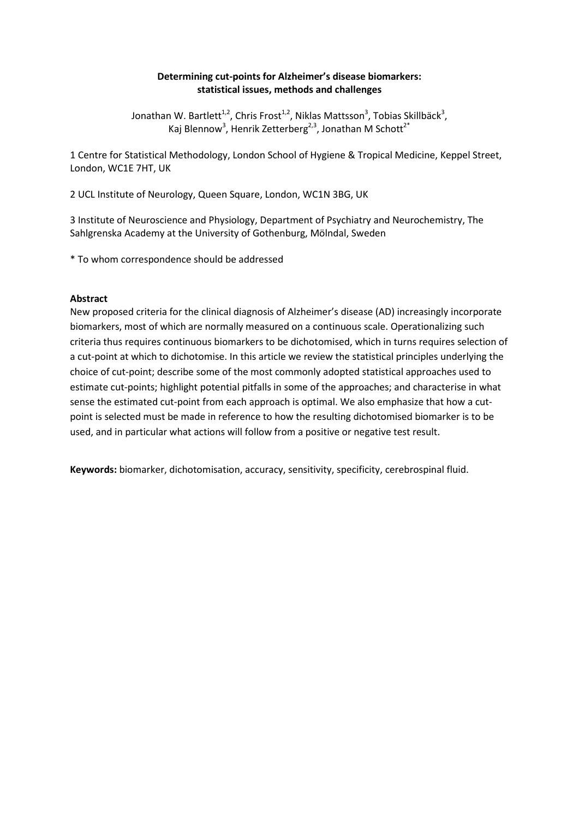# **Determining cut-points for Alzheimer's disease biomarkers: statistical issues, methods and challenges**

Jonathan W. Bartlett<sup>1,2</sup>, Chris Frost<sup>1,2</sup>, Niklas Mattsson<sup>3</sup>, Tobias Skillbäck<sup>3</sup>, Kaj Blennow<sup>3</sup>, Henrik Zetterberg<sup>2,3</sup>, Jonathan M Schott<sup>2\*</sup>

1 Centre for Statistical Methodology, London School of Hygiene & Tropical Medicine, Keppel Street, London, WC1E 7HT, UK

2 UCL Institute of Neurology, Queen Square, London, WC1N 3BG, UK

3 Institute of Neuroscience and Physiology, Department of Psychiatry and Neurochemistry, The Sahlgrenska Academy at the University of Gothenburg, Mölndal, Sweden

\* To whom correspondence should be addressed

#### **Abstract**

New proposed criteria for the clinical diagnosis of Alzheimer's disease (AD) increasingly incorporate biomarkers, most of which are normally measured on a continuous scale. Operationalizing such criteria thus requires continuous biomarkers to be dichotomised, which in turns requires selection of a cut-point at which to dichotomise. In this article we review the statistical principles underlying the choice of cut-point; describe some of the most commonly adopted statistical approaches used to estimate cut-points; highlight potential pitfalls in some of the approaches; and characterise in what sense the estimated cut-point from each approach is optimal. We also emphasize that how a cutpoint is selected must be made in reference to how the resulting dichotomised biomarker is to be used, and in particular what actions will follow from a positive or negative test result.

**Keywords:** biomarker, dichotomisation, accuracy, sensitivity, specificity, cerebrospinal fluid.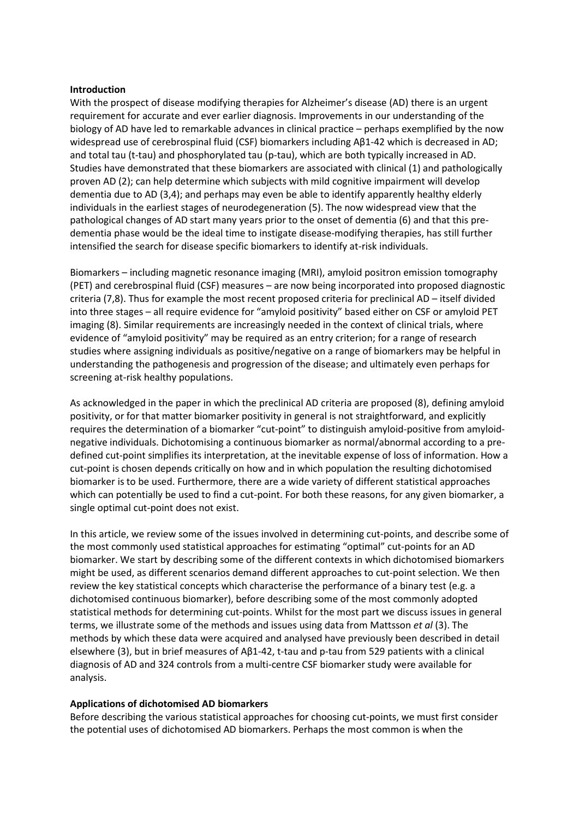#### **Introduction**

With the prospect of disease modifying therapies for Alzheimer's disease (AD) there is an urgent requirement for accurate and ever earlier diagnosis. Improvements in our understanding of the biology of AD have led to remarkable advances in clinical practice – perhaps exemplified by the now widespread use of cerebrospinal fluid (CSF) biomarkers including Aβ1-42 which is decreased in AD; and total tau (t-tau) and phosphorylated tau (p-tau), which are both typically increased in AD. Studies have demonstrated that these biomarkers are associated with clinical (1) and pathologically proven AD (2); can help determine which subjects with mild cognitive impairment will develop dementia due to AD (3,4); and perhaps may even be able to identify apparently healthy elderly individuals in the earliest stages of neurodegeneration (5). The now widespread view that the pathological changes of AD start many years prior to the onset of dementia (6) and that this predementia phase would be the ideal time to instigate disease-modifying therapies, has still further intensified the search for disease specific biomarkers to identify at-risk individuals.

Biomarkers – including magnetic resonance imaging (MRI), amyloid positron emission tomography (PET) and cerebrospinal fluid (CSF) measures – are now being incorporated into proposed diagnostic criteria (7,8). Thus for example the most recent proposed criteria for preclinical AD – itself divided into three stages – all require evidence for "amyloid positivity" based either on CSF or amyloid PET imaging (8). Similar requirements are increasingly needed in the context of clinical trials, where evidence of "amyloid positivity" may be required as an entry criterion; for a range of research studies where assigning individuals as positive/negative on a range of biomarkers may be helpful in understanding the pathogenesis and progression of the disease; and ultimately even perhaps for screening at-risk healthy populations.

As acknowledged in the paper in which the preclinical AD criteria are proposed (8), defining amyloid positivity, or for that matter biomarker positivity in general is not straightforward, and explicitly requires the determination of a biomarker "cut-point" to distinguish amyloid-positive from amyloidnegative individuals. Dichotomising a continuous biomarker as normal/abnormal according to a predefined cut-point simplifies its interpretation, at the inevitable expense of loss of information. How a cut-point is chosen depends critically on how and in which population the resulting dichotomised biomarker is to be used. Furthermore, there are a wide variety of different statistical approaches which can potentially be used to find a cut-point. For both these reasons, for any given biomarker, a single optimal cut-point does not exist.

In this article, we review some of the issues involved in determining cut-points, and describe some of the most commonly used statistical approaches for estimating "optimal" cut-points for an AD biomarker. We start by describing some of the different contexts in which dichotomised biomarkers might be used, as different scenarios demand different approaches to cut-point selection. We then review the key statistical concepts which characterise the performance of a binary test (e.g. a dichotomised continuous biomarker), before describing some of the most commonly adopted statistical methods for determining cut-points. Whilst for the most part we discuss issues in general terms, we illustrate some of the methods and issues using data from Mattsson *et al* (3). The methods by which these data were acquired and analysed have previously been described in detail elsewhere (3), but in brief measures of Aβ1-42, t-tau and p-tau from 529 patients with a clinical diagnosis of AD and 324 controls from a multi-centre CSF biomarker study were available for analysis.

## **Applications of dichotomised AD biomarkers**

Before describing the various statistical approaches for choosing cut-points, we must first consider the potential uses of dichotomised AD biomarkers. Perhaps the most common is when the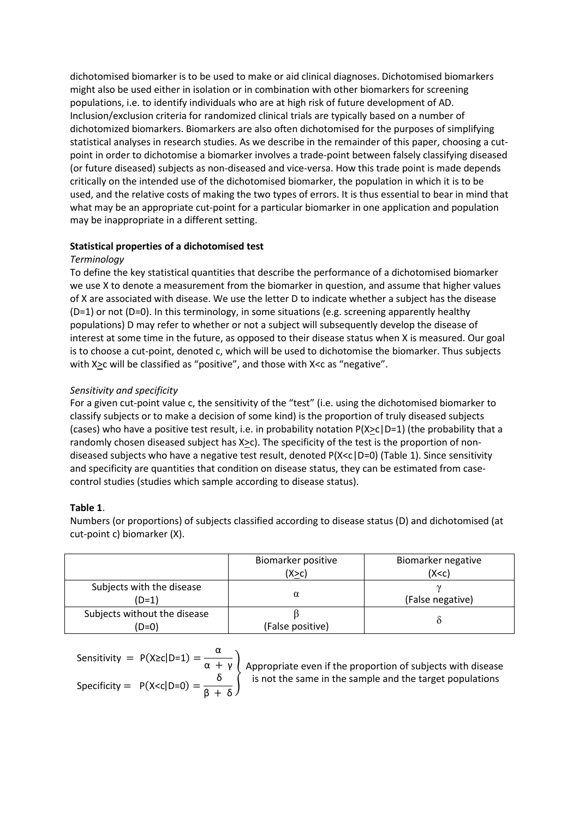dichotomised biomarker is to be used to make or aid clinical diagnoses. Dichotomised biomarkers might also be used either in isolation or in combination with other biomarkers for screening populations, i.e. to identify individuals who are at high risk of future development of AD. Inclusion/exclusion criteria for randomized clinical trials are typically based on a number of dichotomized biomarkers. Biomarkers are also often dichotomised for the purposes of simplifying statistical analyses in research studies. As we describe in the remainder of this paper, choosing a cutpoint in order to dichotomise a biomarker involves a trade-point between falsely classifying diseased (or future diseased) subjects as non-diseased and vice-versa. How this trade point is made depends critically on the intended use of the dichotomised biomarker, the population in which it is to be used, and the relative costs of making the two types of errors. It is thus essential to bear in mind that what may be an appropriate cut-point for a particular biomarker in one application and population may be inappropriate in a different setting.

# **Statistical properties of a dichotomised test**

## *Terminology*

To define the key statistical quantities that describe the performance of a dichotomised biomarker we use X to denote a measurement from the biomarker in question, and assume that higher values of X are associated with disease. We use the letter D to indicate whether a subject has the disease (D=1) or not (D=0). In this terminology, in some situations (e.g. screening apparently healthy populations) D may refer to whether or not a subject will subsequently develop the disease of interest at some time in the future, as opposed to their disease status when X is measured. Our goal is to choose a cut-point, denoted c, which will be used to dichotomise the biomarker. Thus subjects with X<sub>2</sub>c will be classified as "positive", and those with X<c as "negative".

# *Sensitivity and specificity*

For a given cut-point value c, the sensitivity of the "test" (i.e. using the dichotomised biomarker to classify subjects or to make a decision of some kind) is the proportion of truly diseased subjects (cases) who have a positive test result, i.e. in probability notation  $P(X \ge c | D=1)$  (the probability that a randomly chosen diseased subject has X>c). The specificity of the test is the proportion of nondiseased subjects who have a negative test result, denoted P(X<c|D=0) (Table 1). Since sensitivity and specificity are quantities that condition on disease status, they can be estimated from casecontrol studies (studies which sample according to disease status).

# **Table 1**.

Numbers (or proportions) of subjects classified according to disease status (D) and dichotomised (at cut-point c) biomarker (X).

|                                       | Biomarker positive<br>(X>c) | Biomarker negative<br>(X < c) |
|---------------------------------------|-----------------------------|-------------------------------|
| Subjects with the disease<br>$(D=1)$  | α                           | (False negative)              |
| Subjects without the disease<br>(D=0) | (False positive)            |                               |

Sensitivity = 
$$
P(X \ge c | D=1) = \frac{\alpha}{\alpha + \gamma}
$$
  
Specificity =  $P(X \le c | D=0) = \frac{\delta}{\beta + \delta}$ 

Appropriate even if the proportion of subjects with disease is not the same in the sample and the target populations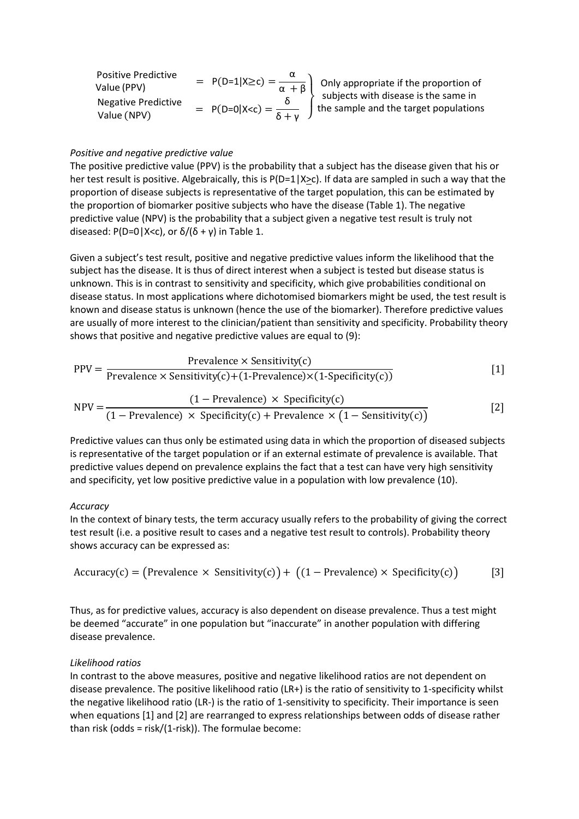| <b>Positive Predictive</b><br>Value (PPV) | $= P(D=1 X\ge c) = \frac{\alpha}{\alpha + \beta}$                                                                                         |
|-------------------------------------------|-------------------------------------------------------------------------------------------------------------------------------------------|
| <b>Negative Predictive</b>                | $\overline{\beta}$ Only appropriate if the proportion of<br>subjects with disease is the same in<br>the sample and the target populations |
| Value (NPV)                               | = $P(D=0 X < c) = \frac{0}{\delta + \nu}$                                                                                                 |

#### *Positive and negative predictive value*

The positive predictive value (PPV) is the probability that a subject has the disease given that his or her test result is positive. Algebraically, this is  $P(D=1|X>c)$ . If data are sampled in such a way that the proportion of disease subjects is representative of the target population, this can be estimated by the proportion of biomarker positive subjects who have the disease (Table 1). The negative predictive value (NPV) is the probability that a subject given a negative test result is truly not diseased: P(D=0|X<c), or  $\delta/(\delta + \gamma)$  in Table 1.

Given a subject's test result, positive and negative predictive values inform the likelihood that the subject has the disease. It is thus of direct interest when a subject is tested but disease status is unknown. This is in contrast to sensitivity and specificity, which give probabilities conditional on disease status. In most applications where dichotomised biomarkers might be used, the test result is known and disease status is unknown (hence the use of the biomarker). Therefore predictive values are usually of more interest to the clinician/patient than sensitivity and specificity. Probability theory shows that positive and negative predictive values are equal to (9):

$$
PPV = \frac{Prevalence \times Sensitivity(c)}{Prevalence \times Sensitivity(c) + (1-Prevalence) \times (1-Specificity(c))}
$$
 [1]  
\n
$$
NPV = \frac{(1 - Prevalence) \times Specificity(c)}{(1 - Prevalence) \times Specificity(c) + Prevalence \times (1 - Sensitivity(c))}
$$
 [2]

Predictive values can thus only be estimated using data in which the proportion of diseased subjects is representative of the target population or if an external estimate of prevalence is available. That predictive values depend on prevalence explains the fact that a test can have very high sensitivity and specificity, yet low positive predictive value in a population with low prevalence (10).

#### *Accuracy*

In the context of binary tests, the term accuracy usually refers to the probability of giving the correct test result (i.e. a positive result to cases and a negative test result to controls). Probability theory shows accuracy can be expressed as:

$$
Accuracy(c) = (Prevalence \times Sensitivity(c)) + ((1 - Prevalence) \times Specificity(c))
$$
 [3]

Thus, as for predictive values, accuracy is also dependent on disease prevalence. Thus a test might be deemed "accurate" in one population but "inaccurate" in another population with differing disease prevalence.

#### *Likelihood ratios*

In contrast to the above measures, positive and negative likelihood ratios are not dependent on disease prevalence. The positive likelihood ratio (LR+) is the ratio of sensitivity to 1-specificity whilst the negative likelihood ratio (LR-) is the ratio of 1-sensitivity to specificity. Their importance is seen when equations [1] and [2] are rearranged to express relationships between odds of disease rather than risk (odds = risk/(1-risk)). The formulae become: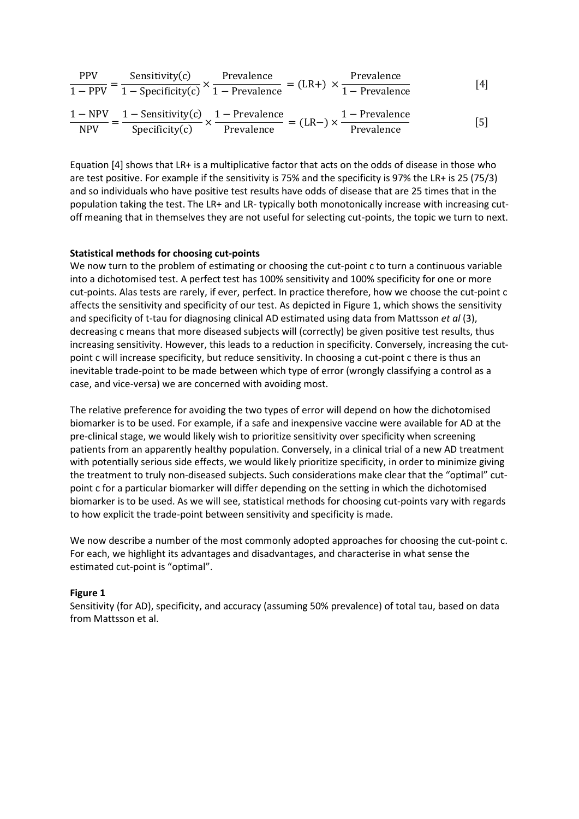$$
\frac{PPV}{1 - PPV} = \frac{\text{Sensitivity}(c)}{1 - \text{Specificity}(c)} \times \frac{\text{Prevalence}}{1 - \text{Prevalence}} = (LR+) \times \frac{\text{Prevalence}}{1 - \text{Prevalence}} \tag{4}
$$

$$
\frac{1 - NPV}{NPV} = \frac{1 - Sensitivity(c)}{Specificity(c)} \times \frac{1 - Prevalence}{Prevalence} = (LR-) \times \frac{1 - Prevalence}{Prevalence}
$$
 [5]

Equation [4] shows that LR+ is a multiplicative factor that acts on the odds of disease in those who are test positive. For example if the sensitivity is 75% and the specificity is 97% the LR+ is 25 (75/3) and so individuals who have positive test results have odds of disease that are 25 times that in the population taking the test. The LR+ and LR- typically both monotonically increase with increasing cutoff meaning that in themselves they are not useful for selecting cut-points, the topic we turn to next.

#### **Statistical methods for choosing cut-points**

We now turn to the problem of estimating or choosing the cut-point c to turn a continuous variable into a dichotomised test. A perfect test has 100% sensitivity and 100% specificity for one or more cut-points. Alas tests are rarely, if ever, perfect. In practice therefore, how we choose the cut-point c affects the sensitivity and specificity of our test. As depicted in Figure 1, which shows the sensitivity and specificity of t-tau for diagnosing clinical AD estimated using data from Mattsson *et al* (3), decreasing c means that more diseased subjects will (correctly) be given positive test results, thus increasing sensitivity. However, this leads to a reduction in specificity. Conversely, increasing the cutpoint c will increase specificity, but reduce sensitivity. In choosing a cut-point c there is thus an inevitable trade-point to be made between which type of error (wrongly classifying a control as a case, and vice-versa) we are concerned with avoiding most.

The relative preference for avoiding the two types of error will depend on how the dichotomised biomarker is to be used. For example, if a safe and inexpensive vaccine were available for AD at the pre-clinical stage, we would likely wish to prioritize sensitivity over specificity when screening patients from an apparently healthy population. Conversely, in a clinical trial of a new AD treatment with potentially serious side effects, we would likely prioritize specificity, in order to minimize giving the treatment to truly non-diseased subjects. Such considerations make clear that the "optimal" cutpoint c for a particular biomarker will differ depending on the setting in which the dichotomised biomarker is to be used. As we will see, statistical methods for choosing cut-points vary with regards to how explicit the trade-point between sensitivity and specificity is made.

We now describe a number of the most commonly adopted approaches for choosing the cut-point c. For each, we highlight its advantages and disadvantages, and characterise in what sense the estimated cut-point is "optimal".

#### **Figure 1**

Sensitivity (for AD), specificity, and accuracy (assuming 50% prevalence) of total tau, based on data from Mattsson et al.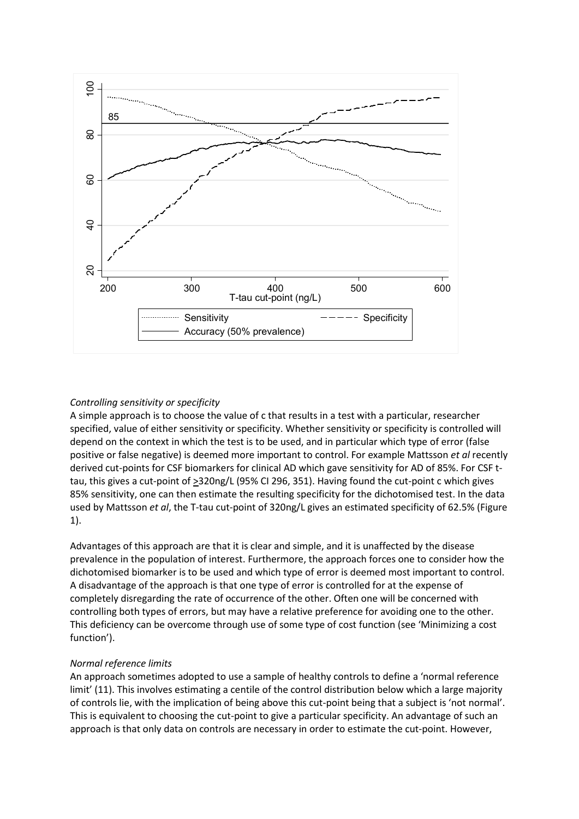

# *Controlling sensitivity or specificity*

A simple approach is to choose the value of c that results in a test with a particular, researcher specified, value of either sensitivity or specificity. Whether sensitivity or specificity is controlled will depend on the context in which the test is to be used, and in particular which type of error (false positive or false negative) is deemed more important to control. For example Mattsson *et al* recently derived cut-points for CSF biomarkers for clinical AD which gave sensitivity for AD of 85%. For CSF ttau, this gives a cut-point of >320ng/L (95% CI 296, 351). Having found the cut-point c which gives 85% sensitivity, one can then estimate the resulting specificity for the dichotomised test. In the data used by Mattsson *et al*, the T-tau cut-point of 320ng/L gives an estimated specificity of 62.5% (Figure 1).

Advantages of this approach are that it is clear and simple, and it is unaffected by the disease prevalence in the population of interest. Furthermore, the approach forces one to consider how the dichotomised biomarker is to be used and which type of error is deemed most important to control. A disadvantage of the approach is that one type of error is controlled for at the expense of completely disregarding the rate of occurrence of the other. Often one will be concerned with controlling both types of errors, but may have a relative preference for avoiding one to the other. This deficiency can be overcome through use of some type of cost function (see 'Minimizing a cost function').

## *Normal reference limits*

An approach sometimes adopted to use a sample of healthy controls to define a 'normal reference limit' (11). This involves estimating a centile of the control distribution below which a large majority of controls lie, with the implication of being above this cut-point being that a subject is 'not normal'. This is equivalent to choosing the cut-point to give a particular specificity. An advantage of such an approach is that only data on controls are necessary in order to estimate the cut-point. However,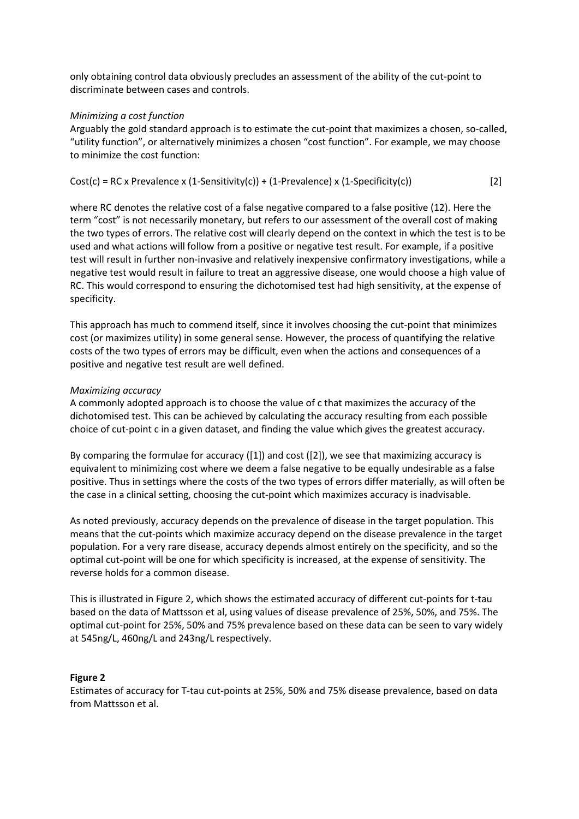only obtaining control data obviously precludes an assessment of the ability of the cut-point to discriminate between cases and controls.

#### *Minimizing a cost function*

Arguably the gold standard approach is to estimate the cut-point that maximizes a chosen, so-called, "utility function", or alternatively minimizes a chosen "cost function". For example, we may choose to minimize the cost function:

Cost(c) = RC x Prevalence x (1-Sensitivity(c)) + (1-Prevalence) x (1-Specificity(c)) 
$$
[2]
$$

where RC denotes the relative cost of a false negative compared to a false positive (12). Here the term "cost" is not necessarily monetary, but refers to our assessment of the overall cost of making the two types of errors. The relative cost will clearly depend on the context in which the test is to be used and what actions will follow from a positive or negative test result. For example, if a positive test will result in further non-invasive and relatively inexpensive confirmatory investigations, while a negative test would result in failure to treat an aggressive disease, one would choose a high value of RC. This would correspond to ensuring the dichotomised test had high sensitivity, at the expense of specificity.

This approach has much to commend itself, since it involves choosing the cut-point that minimizes cost (or maximizes utility) in some general sense. However, the process of quantifying the relative costs of the two types of errors may be difficult, even when the actions and consequences of a positive and negative test result are well defined.

#### *Maximizing accuracy*

A commonly adopted approach is to choose the value of c that maximizes the accuracy of the dichotomised test. This can be achieved by calculating the accuracy resulting from each possible choice of cut-point c in a given dataset, and finding the value which gives the greatest accuracy.

By comparing the formulae for accuracy  $([1])$  and cost  $([2])$ , we see that maximizing accuracy is equivalent to minimizing cost where we deem a false negative to be equally undesirable as a false positive. Thus in settings where the costs of the two types of errors differ materially, as will often be the case in a clinical setting, choosing the cut-point which maximizes accuracy is inadvisable.

As noted previously, accuracy depends on the prevalence of disease in the target population. This means that the cut-points which maximize accuracy depend on the disease prevalence in the target population. For a very rare disease, accuracy depends almost entirely on the specificity, and so the optimal cut-point will be one for which specificity is increased, at the expense of sensitivity. The reverse holds for a common disease.

This is illustrated in Figure 2, which shows the estimated accuracy of different cut-points for t-tau based on the data of Mattsson et al, using values of disease prevalence of 25%, 50%, and 75%. The optimal cut-point for 25%, 50% and 75% prevalence based on these data can be seen to vary widely at 545ng/L, 460ng/L and 243ng/L respectively.

#### **Figure 2**

Estimates of accuracy for T-tau cut-points at 25%, 50% and 75% disease prevalence, based on data from Mattsson et al.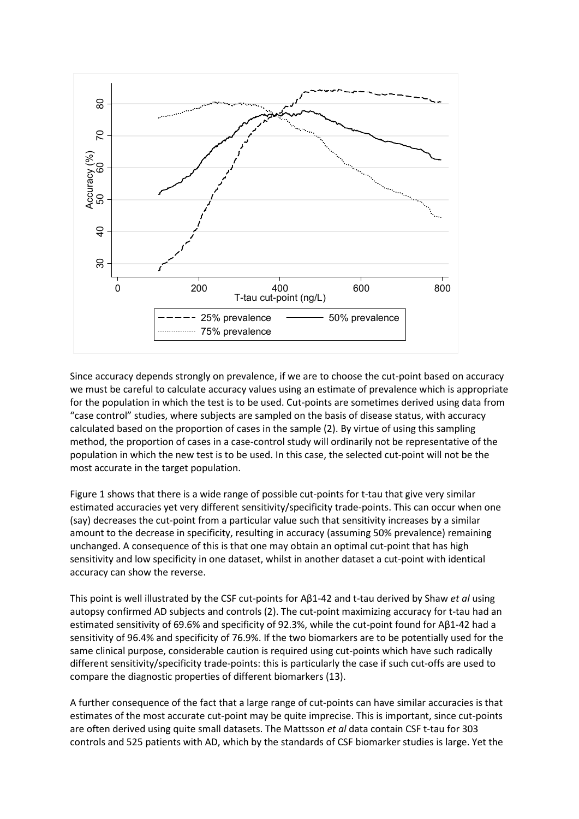

Since accuracy depends strongly on prevalence, if we are to choose the cut-point based on accuracy we must be careful to calculate accuracy values using an estimate of prevalence which is appropriate for the population in which the test is to be used. Cut-points are sometimes derived using data from "case control" studies, where subjects are sampled on the basis of disease status, with accuracy calculated based on the proportion of cases in the sample (2). By virtue of using this sampling method, the proportion of cases in a case-control study will ordinarily not be representative of the population in which the new test is to be used. In this case, the selected cut-point will not be the most accurate in the target population.

Figure 1 shows that there is a wide range of possible cut-points for t-tau that give very similar estimated accuracies yet very different sensitivity/specificity trade-points. This can occur when one (say) decreases the cut-point from a particular value such that sensitivity increases by a similar amount to the decrease in specificity, resulting in accuracy (assuming 50% prevalence) remaining unchanged. A consequence of this is that one may obtain an optimal cut-point that has high sensitivity and low specificity in one dataset, whilst in another dataset a cut-point with identical accuracy can show the reverse.

This point is well illustrated by the CSF cut-points for Aβ1-42 and t-tau derived by Shaw *et al* using autopsy confirmed AD subjects and controls (2). The cut-point maximizing accuracy for t-tau had an estimated sensitivity of 69.6% and specificity of 92.3%, while the cut-point found for Aβ1-42 had a sensitivity of 96.4% and specificity of 76.9%. If the two biomarkers are to be potentially used for the same clinical purpose, considerable caution is required using cut-points which have such radically different sensitivity/specificity trade-points: this is particularly the case if such cut-offs are used to compare the diagnostic properties of different biomarkers (13).

A further consequence of the fact that a large range of cut-points can have similar accuracies is that estimates of the most accurate cut-point may be quite imprecise. This is important, since cut-points are often derived using quite small datasets. The Mattsson *et al* data contain CSF t-tau for 303 controls and 525 patients with AD, which by the standards of CSF biomarker studies is large. Yet the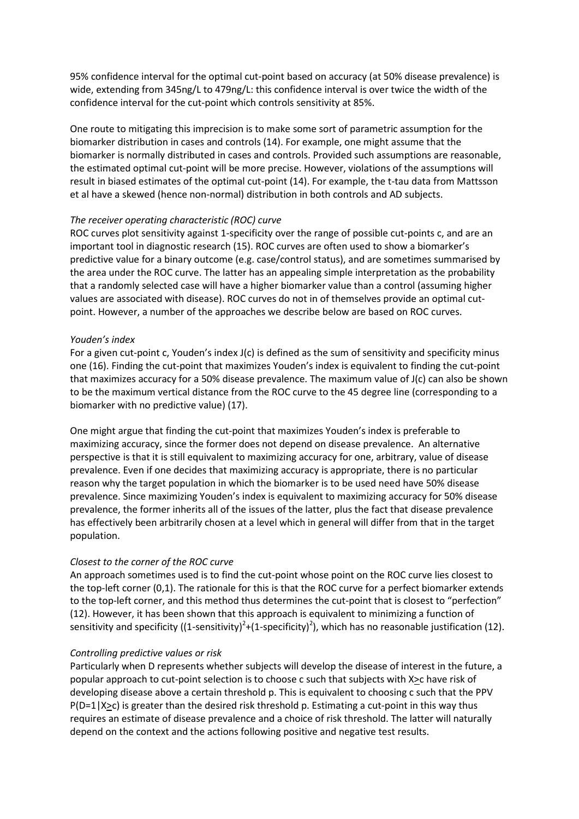95% confidence interval for the optimal cut-point based on accuracy (at 50% disease prevalence) is wide, extending from 345ng/L to 479ng/L: this confidence interval is over twice the width of the confidence interval for the cut-point which controls sensitivity at 85%.

One route to mitigating this imprecision is to make some sort of parametric assumption for the biomarker distribution in cases and controls (14). For example, one might assume that the biomarker is normally distributed in cases and controls. Provided such assumptions are reasonable, the estimated optimal cut-point will be more precise. However, violations of the assumptions will result in biased estimates of the optimal cut-point (14). For example, the t-tau data from Mattsson et al have a skewed (hence non-normal) distribution in both controls and AD subjects.

# *The receiver operating characteristic (ROC) curve*

ROC curves plot sensitivity against 1-specificity over the range of possible cut-points c, and are an important tool in diagnostic research (15). ROC curves are often used to show a biomarker's predictive value for a binary outcome (e.g. case/control status), and are sometimes summarised by the area under the ROC curve. The latter has an appealing simple interpretation as the probability that a randomly selected case will have a higher biomarker value than a control (assuming higher values are associated with disease). ROC curves do not in of themselves provide an optimal cutpoint. However, a number of the approaches we describe below are based on ROC curves.

## *Youden's index*

For a given cut-point c, Youden's index J(c) is defined as the sum of sensitivity and specificity minus one (16). Finding the cut-point that maximizes Youden's index is equivalent to finding the cut-point that maximizes accuracy for a 50% disease prevalence. The maximum value of J(c) can also be shown to be the maximum vertical distance from the ROC curve to the 45 degree line (corresponding to a biomarker with no predictive value) (17).

One might argue that finding the cut-point that maximizes Youden's index is preferable to maximizing accuracy, since the former does not depend on disease prevalence. An alternative perspective is that it is still equivalent to maximizing accuracy for one, arbitrary, value of disease prevalence. Even if one decides that maximizing accuracy is appropriate, there is no particular reason why the target population in which the biomarker is to be used need have 50% disease prevalence. Since maximizing Youden's index is equivalent to maximizing accuracy for 50% disease prevalence, the former inherits all of the issues of the latter, plus the fact that disease prevalence has effectively been arbitrarily chosen at a level which in general will differ from that in the target population.

## *Closest to the corner of the ROC curve*

An approach sometimes used is to find the cut-point whose point on the ROC curve lies closest to the top-left corner (0,1). The rationale for this is that the ROC curve for a perfect biomarker extends to the top-left corner, and this method thus determines the cut-point that is closest to "perfection" (12). However, it has been shown that this approach is equivalent to minimizing a function of sensitivity and specificity ((1-sensitivity)<sup>2</sup>+(1-specificity)<sup>2</sup>), which has no reasonable justification (12).

## *Controlling predictive values or risk*

Particularly when D represents whether subjects will develop the disease of interest in the future, a popular approach to cut-point selection is to choose c such that subjects with X>c have risk of developing disease above a certain threshold p. This is equivalent to choosing c such that the PPV  $P(D=1|X>c)$  is greater than the desired risk threshold p. Estimating a cut-point in this way thus requires an estimate of disease prevalence and a choice of risk threshold. The latter will naturally depend on the context and the actions following positive and negative test results.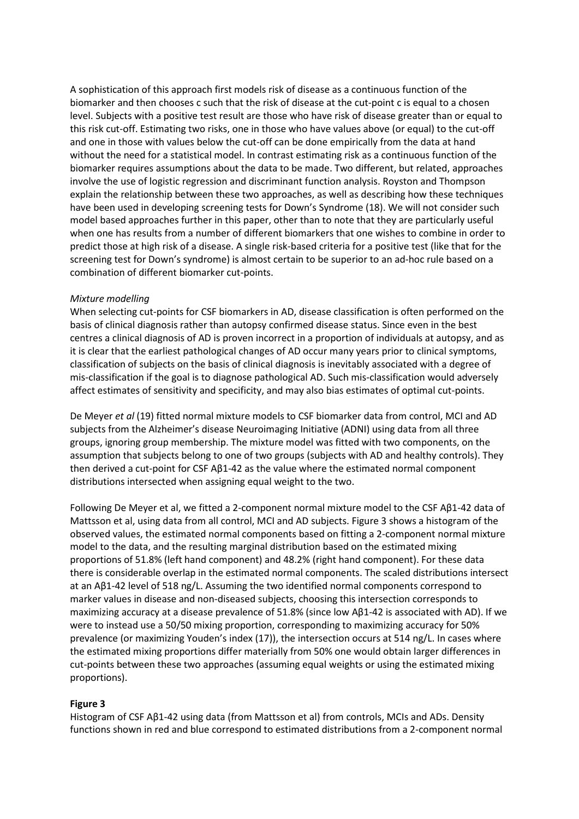A sophistication of this approach first models risk of disease as a continuous function of the biomarker and then chooses c such that the risk of disease at the cut-point c is equal to a chosen level. Subjects with a positive test result are those who have risk of disease greater than or equal to this risk cut-off. Estimating two risks, one in those who have values above (or equal) to the cut-off and one in those with values below the cut-off can be done empirically from the data at hand without the need for a statistical model. In contrast estimating risk as a continuous function of the biomarker requires assumptions about the data to be made. Two different, but related, approaches involve the use of logistic regression and discriminant function analysis. Royston and Thompson explain the relationship between these two approaches, as well as describing how these techniques have been used in developing screening tests for Down's Syndrome (18). We will not consider such model based approaches further in this paper, other than to note that they are particularly useful when one has results from a number of different biomarkers that one wishes to combine in order to predict those at high risk of a disease. A single risk-based criteria for a positive test (like that for the screening test for Down's syndrome) is almost certain to be superior to an ad-hoc rule based on a combination of different biomarker cut-points.

#### *Mixture modelling*

When selecting cut-points for CSF biomarkers in AD, disease classification is often performed on the basis of clinical diagnosis rather than autopsy confirmed disease status. Since even in the best centres a clinical diagnosis of AD is proven incorrect in a proportion of individuals at autopsy, and as it is clear that the earliest pathological changes of AD occur many years prior to clinical symptoms, classification of subjects on the basis of clinical diagnosis is inevitably associated with a degree of mis-classification if the goal is to diagnose pathological AD. Such mis-classification would adversely affect estimates of sensitivity and specificity, and may also bias estimates of optimal cut-points.

De Meyer *et al* (19) fitted normal mixture models to CSF biomarker data from control, MCI and AD subjects from the Alzheimer's disease Neuroimaging Initiative (ADNI) using data from all three groups, ignoring group membership. The mixture model was fitted with two components, on the assumption that subjects belong to one of two groups (subjects with AD and healthy controls). They then derived a cut-point for CSF A $\beta$ 1-42 as the value where the estimated normal component distributions intersected when assigning equal weight to the two.

Following De Meyer et al, we fitted a 2-component normal mixture model to the CSF Aβ1-42 data of Mattsson et al, using data from all control, MCI and AD subjects. Figure 3 shows a histogram of the observed values, the estimated normal components based on fitting a 2-component normal mixture model to the data, and the resulting marginal distribution based on the estimated mixing proportions of 51.8% (left hand component) and 48.2% (right hand component). For these data there is considerable overlap in the estimated normal components. The scaled distributions intersect at an Aβ1-42 level of 518 ng/L. Assuming the two identified normal components correspond to marker values in disease and non-diseased subjects, choosing this intersection corresponds to maximizing accuracy at a disease prevalence of 51.8% (since low Aβ1-42 is associated with AD). If we were to instead use a 50/50 mixing proportion, corresponding to maximizing accuracy for 50% prevalence (or maximizing Youden's index (17)), the intersection occurs at 514 ng/L. In cases where the estimated mixing proportions differ materially from 50% one would obtain larger differences in cut-points between these two approaches (assuming equal weights or using the estimated mixing proportions).

## **Figure 3**

Histogram of CSF Aβ1-42 using data (from Mattsson et al) from controls, MCIs and ADs. Density functions shown in red and blue correspond to estimated distributions from a 2-component normal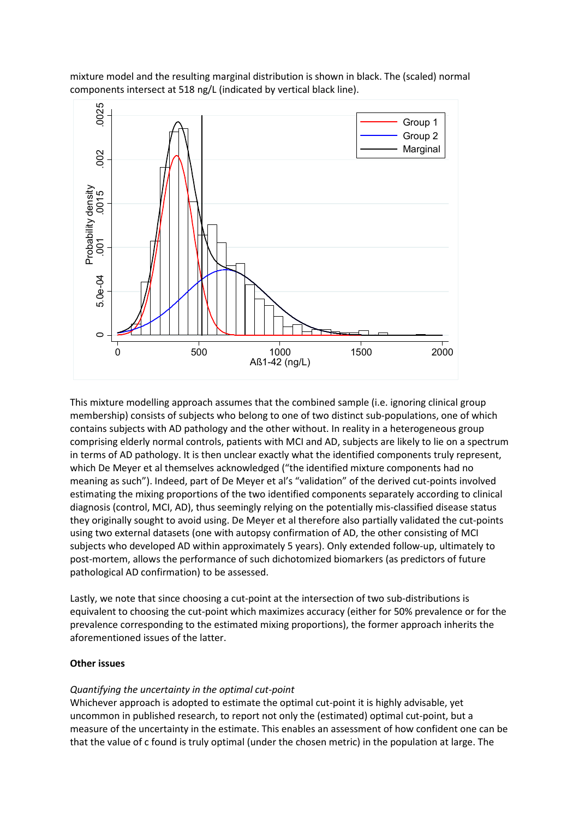mixture model and the resulting marginal distribution is shown in black. The (scaled) normal components intersect at 518 ng/L (indicated by vertical black line).



This mixture modelling approach assumes that the combined sample (i.e. ignoring clinical group membership) consists of subjects who belong to one of two distinct sub-populations, one of which contains subjects with AD pathology and the other without. In reality in a heterogeneous group comprising elderly normal controls, patients with MCI and AD, subjects are likely to lie on a spectrum in terms of AD pathology. It is then unclear exactly what the identified components truly represent, which De Meyer et al themselves acknowledged ("the identified mixture components had no meaning as such"). Indeed, part of De Meyer et al's "validation" of the derived cut-points involved estimating the mixing proportions of the two identified components separately according to clinical diagnosis (control, MCI, AD), thus seemingly relying on the potentially mis-classified disease status they originally sought to avoid using. De Meyer et al therefore also partially validated the cut-points using two external datasets (one with autopsy confirmation of AD, the other consisting of MCI subjects who developed AD within approximately 5 years). Only extended follow-up, ultimately to post-mortem, allows the performance of such dichotomized biomarkers (as predictors of future pathological AD confirmation) to be assessed.

Lastly, we note that since choosing a cut-point at the intersection of two sub-distributions is equivalent to choosing the cut-point which maximizes accuracy (either for 50% prevalence or for the prevalence corresponding to the estimated mixing proportions), the former approach inherits the aforementioned issues of the latter.

## **Other issues**

# *Quantifying the uncertainty in the optimal cut-point*

Whichever approach is adopted to estimate the optimal cut-point it is highly advisable, yet uncommon in published research, to report not only the (estimated) optimal cut-point, but a measure of the uncertainty in the estimate. This enables an assessment of how confident one can be that the value of c found is truly optimal (under the chosen metric) in the population at large. The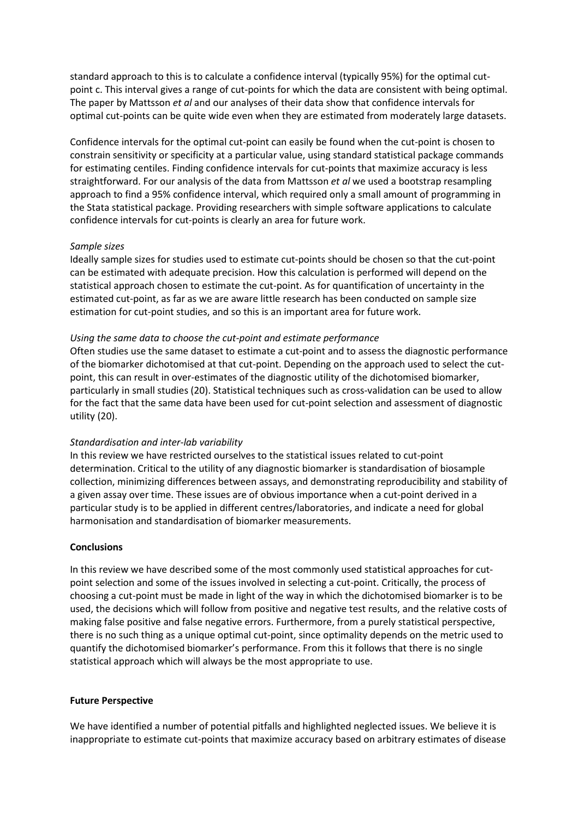standard approach to this is to calculate a confidence interval (typically 95%) for the optimal cutpoint c. This interval gives a range of cut-points for which the data are consistent with being optimal. The paper by Mattsson *et al* and our analyses of their data show that confidence intervals for optimal cut-points can be quite wide even when they are estimated from moderately large datasets.

Confidence intervals for the optimal cut-point can easily be found when the cut-point is chosen to constrain sensitivity or specificity at a particular value, using standard statistical package commands for estimating centiles. Finding confidence intervals for cut-points that maximize accuracy is less straightforward. For our analysis of the data from Mattsson *et al* we used a bootstrap resampling approach to find a 95% confidence interval, which required only a small amount of programming in the Stata statistical package. Providing researchers with simple software applications to calculate confidence intervals for cut-points is clearly an area for future work.

#### *Sample sizes*

Ideally sample sizes for studies used to estimate cut-points should be chosen so that the cut-point can be estimated with adequate precision. How this calculation is performed will depend on the statistical approach chosen to estimate the cut-point. As for quantification of uncertainty in the estimated cut-point, as far as we are aware little research has been conducted on sample size estimation for cut-point studies, and so this is an important area for future work.

#### *Using the same data to choose the cut-point and estimate performance*

Often studies use the same dataset to estimate a cut-point and to assess the diagnostic performance of the biomarker dichotomised at that cut-point. Depending on the approach used to select the cutpoint, this can result in over-estimates of the diagnostic utility of the dichotomised biomarker, particularly in small studies (20). Statistical techniques such as cross-validation can be used to allow for the fact that the same data have been used for cut-point selection and assessment of diagnostic utility (20).

## *Standardisation and inter-lab variability*

In this review we have restricted ourselves to the statistical issues related to cut-point determination. Critical to the utility of any diagnostic biomarker is standardisation of biosample collection, minimizing differences between assays, and demonstrating reproducibility and stability of a given assay over time. These issues are of obvious importance when a cut-point derived in a particular study is to be applied in different centres/laboratories, and indicate a need for global harmonisation and standardisation of biomarker measurements.

#### **Conclusions**

In this review we have described some of the most commonly used statistical approaches for cutpoint selection and some of the issues involved in selecting a cut-point. Critically, the process of choosing a cut-point must be made in light of the way in which the dichotomised biomarker is to be used, the decisions which will follow from positive and negative test results, and the relative costs of making false positive and false negative errors. Furthermore, from a purely statistical perspective, there is no such thing as a unique optimal cut-point, since optimality depends on the metric used to quantify the dichotomised biomarker's performance. From this it follows that there is no single statistical approach which will always be the most appropriate to use.

#### **Future Perspective**

We have identified a number of potential pitfalls and highlighted neglected issues. We believe it is inappropriate to estimate cut-points that maximize accuracy based on arbitrary estimates of disease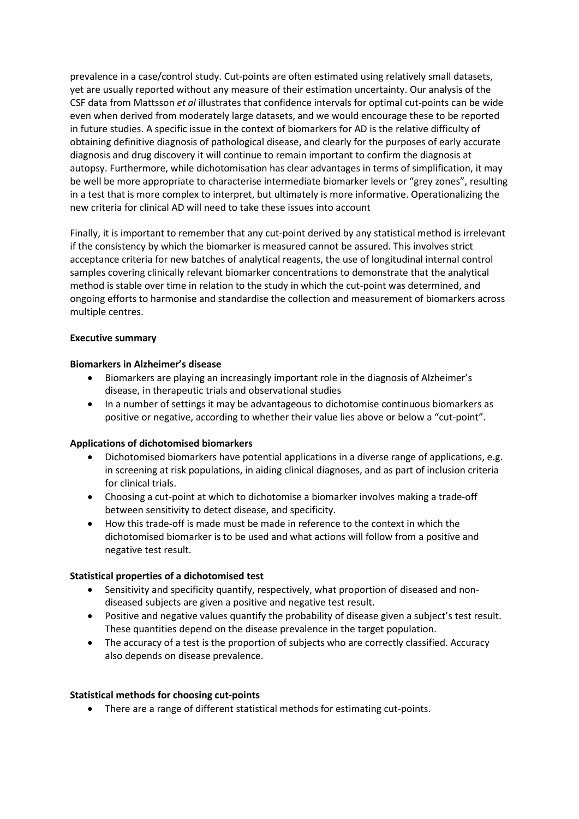prevalence in a case/control study. Cut-points are often estimated using relatively small datasets, yet are usually reported without any measure of their estimation uncertainty. Our analysis of the CSF data from Mattsson *et al* illustrates that confidence intervals for optimal cut-points can be wide even when derived from moderately large datasets, and we would encourage these to be reported in future studies. A specific issue in the context of biomarkers for AD is the relative difficulty of obtaining definitive diagnosis of pathological disease, and clearly for the purposes of early accurate diagnosis and drug discovery it will continue to remain important to confirm the diagnosis at autopsy. Furthermore, while dichotomisation has clear advantages in terms of simplification, it may be well be more appropriate to characterise intermediate biomarker levels or "grey zones", resulting in a test that is more complex to interpret, but ultimately is more informative. Operationalizing the new criteria for clinical AD will need to take these issues into account

Finally, it is important to remember that any cut-point derived by any statistical method is irrelevant if the consistency by which the biomarker is measured cannot be assured. This involves strict acceptance criteria for new batches of analytical reagents, the use of longitudinal internal control samples covering clinically relevant biomarker concentrations to demonstrate that the analytical method is stable over time in relation to the study in which the cut-point was determined, and ongoing efforts to harmonise and standardise the collection and measurement of biomarkers across multiple centres.

## **Executive summary**

#### **Biomarkers in Alzheimer's disease**

- Biomarkers are playing an increasingly important role in the diagnosis of Alzheimer's disease, in therapeutic trials and observational studies
- In a number of settings it may be advantageous to dichotomise continuous biomarkers as positive or negative, according to whether their value lies above or below a "cut-point".

## **Applications of dichotomised biomarkers**

- Dichotomised biomarkers have potential applications in a diverse range of applications, e.g. in screening at risk populations, in aiding clinical diagnoses, and as part of inclusion criteria for clinical trials.
- Choosing a cut-point at which to dichotomise a biomarker involves making a trade-off between sensitivity to detect disease, and specificity.
- How this trade-off is made must be made in reference to the context in which the dichotomised biomarker is to be used and what actions will follow from a positive and negative test result.

## **Statistical properties of a dichotomised test**

- Sensitivity and specificity quantify, respectively, what proportion of diseased and nondiseased subjects are given a positive and negative test result.
- Positive and negative values quantify the probability of disease given a subject's test result. These quantities depend on the disease prevalence in the target population.
- The accuracy of a test is the proportion of subjects who are correctly classified. Accuracy also depends on disease prevalence.

## **Statistical methods for choosing cut-points**

• There are a range of different statistical methods for estimating cut-points.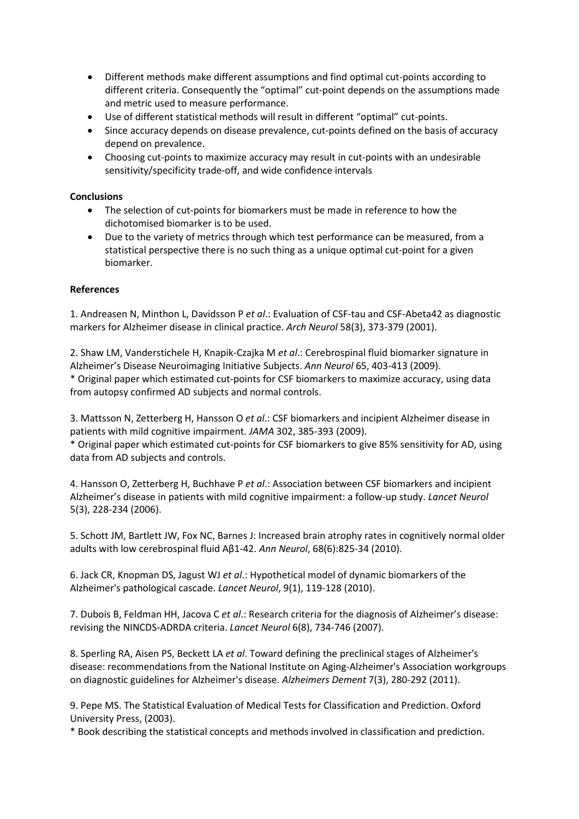- Different methods make different assumptions and find optimal cut-points according to different criteria. Consequently the "optimal" cut-point depends on the assumptions made and metric used to measure performance.
- Use of different statistical methods will result in different "optimal" cut-points.
- Since accuracy depends on disease prevalence, cut-points defined on the basis of accuracy depend on prevalence.
- Choosing cut-points to maximize accuracy may result in cut-points with an undesirable sensitivity/specificity trade-off, and wide confidence intervals

# **Conclusions**

- The selection of cut-points for biomarkers must be made in reference to how the dichotomised biomarker is to be used.
- Due to the variety of metrics through which test performance can be measured, from a statistical perspective there is no such thing as a unique optimal cut-point for a given biomarker.

# **References**

1. Andreasen N, Minthon L, Davidsson P *et al*.: Evaluation of CSF-tau and CSF-Abeta42 as diagnostic markers for Alzheimer disease in clinical practice. *Arch Neurol* 58(3), 373-379 (2001).

2. Shaw LM, Vanderstichele H, Knapik-Czajka M *et al*.: Cerebrospinal fluid biomarker signature in Alzheimer's Disease Neuroimaging Initiative Subjects. *Ann Neurol* 65, 403-413 (2009). \* Original paper which estimated cut-points for CSF biomarkers to maximize accuracy, using data from autopsy confirmed AD subjects and normal controls.

3. Mattsson N, Zetterberg H, Hansson O *et al*.: CSF biomarkers and incipient Alzheimer disease in patients with mild cognitive impairment. *JAMA* 302, 385-393 (2009).

\* Original paper which estimated cut-points for CSF biomarkers to give 85% sensitivity for AD, using data from AD subjects and controls.

4. Hansson O, Zetterberg H, Buchhave P *et al*.: Association between CSF biomarkers and incipient Alzheimer's disease in patients with mild cognitive impairment: a follow-up study. *Lancet Neurol* 5(3), 228-234 (2006).

5. Schott JM, Bartlett JW, Fox NC, Barnes J: Increased brain atrophy rates in cognitively normal older adults with low cerebrospinal fluid Aβ1-42. *Ann Neurol*, 68(6):825-34 (2010).

6. Jack CR, Knopman DS, Jagust WJ *et al*.: Hypothetical model of dynamic biomarkers of the Alzheimer's pathological cascade. *Lancet Neurol*, 9(1), 119-128 (2010).

7. Dubois B, Feldman HH, Jacova C *et al*.: Research criteria for the diagnosis of Alzheimer's disease: revising the NINCDS-ADRDA criteria. *Lancet Neurol* 6(8), 734-746 (2007).

8. Sperling RA, Aisen PS, Beckett LA *et al*. Toward defining the preclinical stages of Alzheimer's disease: recommendations from the National Institute on Aging-Alzheimer's Association workgroups on diagnostic guidelines for Alzheimer's disease. *Alzheimers Dement* 7(3), 280-292 (2011).

9. Pepe MS. The Statistical Evaluation of Medical Tests for Classification and Prediction. Oxford University Press, (2003).

\* Book describing the statistical concepts and methods involved in classification and prediction.